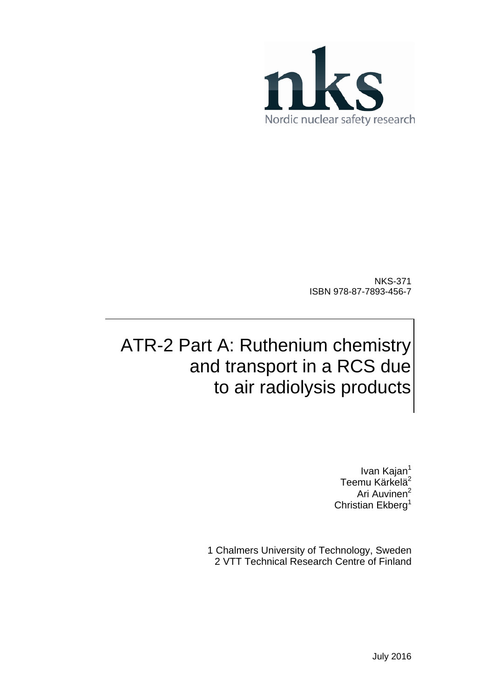

NKS-371 ISBN 978-87-7893-456-7

# ATR-2 Part A: Ruthenium chemistry and transport in a RCS due to air radiolysis products

Ivan Kajan<sup>1</sup> Teemu Kärkelä<sup>2</sup> Ari Auvinen<sup>2</sup> Christian Ekberg<sup>1</sup>

1 Chalmers University of Technology, Sweden 2 VTT Technical Research Centre of Finland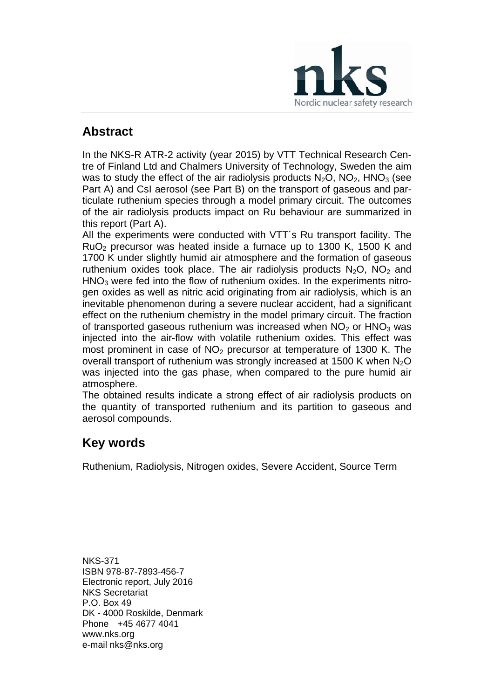

## **Abstract**

In the NKS-R ATR-2 activity (year 2015) by VTT Technical Research Centre of Finland Ltd and Chalmers University of Technology, Sweden the aim was to study the effect of the air radiolysis products  $N_2O$ ,  $NO_2$ ,  $HNO_3$  (see Part A) and CsI aerosol (see Part B) on the transport of gaseous and particulate ruthenium species through a model primary circuit. The outcomes of the air radiolysis products impact on Ru behaviour are summarized in this report (Part A).

All the experiments were conducted with VTT´s Ru transport facility. The RuO2 precursor was heated inside a furnace up to 1300 K, 1500 K and 1700 K under slightly humid air atmosphere and the formation of gaseous ruthenium oxides took place. The air radiolysis products  $N_2O$ .  $NO_2$  and  $HNO<sub>3</sub>$  were fed into the flow of ruthenium oxides. In the experiments nitrogen oxides as well as nitric acid originating from air radiolysis, which is an inevitable phenomenon during a severe nuclear accident, had a significant effect on the ruthenium chemistry in the model primary circuit. The fraction of transported gaseous ruthenium was increased when  $NO<sub>2</sub>$  or  $HNO<sub>3</sub>$  was injected into the air-flow with volatile ruthenium oxides. This effect was most prominent in case of  $NO<sub>2</sub>$  precursor at temperature of 1300 K. The overall transport of ruthenium was strongly increased at 1500 K when  $N<sub>2</sub>O$ was injected into the gas phase, when compared to the pure humid air atmosphere.

The obtained results indicate a strong effect of air radiolysis products on the quantity of transported ruthenium and its partition to gaseous and aerosol compounds.

## **Key words**

Ruthenium, Radiolysis, Nitrogen oxides, Severe Accident, Source Term

NKS-371 ISBN 978-87-7893-456-7 Electronic report, July 2016 NKS Secretariat P.O. Box 49 DK - 4000 Roskilde, Denmark Phone +45 4677 4041 www.nks.org e-mail nks@nks.org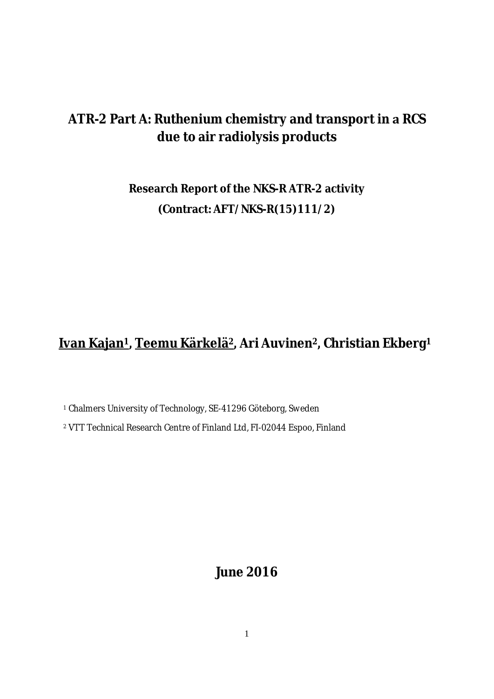## **ATR-2 Part A: Ruthenium chemistry and transport inRCS due to air radiolysis products**

## **Research Report of the NKS-R ATR-2 activity (Contract: AFT/NKS-R(15)111/2)**

## **Ivan Kajan<sup>1</sup> ǡTeemu Kärkelä<sup>2</sup> ǡAri Auvinen<sup>2</sup> ǡChristian Ekberg<sup>1</sup>**

<sup>1</sup> Chalmers University of Technology, SE-41296 Göteborg, Sweden

<sup>2</sup> VTT Technical Research Centre of Finland Ltd, FI-02044 Espoo, Finland

**June 2016**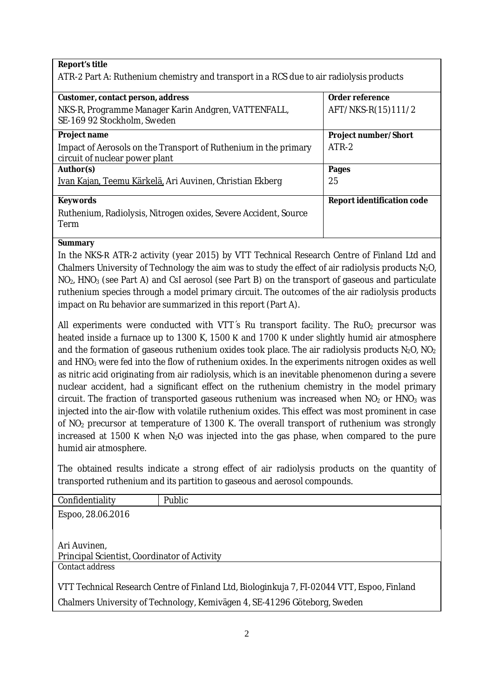**Report's title**

ATR-2 Part A: Ruthenium chemistry and transport in a RCS due to air radiolysis products

| Customer, contact person, address                                                                 | Order reference            |
|---------------------------------------------------------------------------------------------------|----------------------------|
| NKS-R, Programme Manager Karin Andgren, VATTENFALL,<br>SE-169 92 Stockholm, Sweden                | AFT/NKS-R(15)111/2         |
| Project name                                                                                      | Project number/Short       |
| Impact of Aerosols on the Transport of Ruthenium in the primary<br>circuit of nuclear power plant | ATR-2                      |
| Author(s)                                                                                         | Pages                      |
| Ivan Kajan, Teemu Kärkelä, Ari Auvinen, Christian Ekberg                                          | 25                         |
| Keywords                                                                                          | Report identification code |
| Ruthenium, Radiolysis, Nitrogen oxides, Severe Accident, Source<br>Term                           |                            |

**Summary**

In the NKS-R ATR-2 activity (year 2015) by VTT Technical Research Centre of Finland Ltd and Chalmers University of Technology the aim was to study the effect of air radiolysis products  $N_2O$ , NO<sub>2</sub>, HNO<sub>3</sub> (see Part A) and CsI aerosol (see Part B) on the transport of gaseous and particulate ruthenium species through a model primary circuit. The outcomes of the air radiolysis products impact on Ru behavior are summarized in this report (Part A).

All experiments were conducted with VTT's Ru transport facility. The RuO<sub>2</sub> precursor was heated inside a furnace up to 1300 K, 1500 K and 1700 K under slightly humid air atmosphere and the formation of gaseous ruthenium oxides took place. The air radiolysis products  $N_2O$ ,  $NO_2$ and HNO<sub>3</sub> were fed into the flow of ruthenium oxides. In the experiments nitrogen oxides as well as nitric acid originating from air radiolysis, which is an inevitable phenomenon during a severe nuclear accident, had a significant effect on the ruthenium chemistry in the model primary circuit. The fraction of transported gaseous ruthenium was increased when  $NO<sub>2</sub>$  or  $HNO<sub>3</sub>$  was injected into the air-flow with volatile ruthenium oxides. This effect was most prominent in case of NO<sup>2</sup> precursor at temperature of 1300 K. The overall transport of ruthenium was strongly increased at 1500 K when  $N_2O$  was injected into the gas phase, when compared to the pure humid air atmosphere.

The obtained results indicate a strong effect of air radiolysis products on the quantity of transported ruthenium and its partition to gaseous and aerosol compounds.

| Confidentiality                                              | Public                                                                                     |
|--------------------------------------------------------------|--------------------------------------------------------------------------------------------|
| Espoo, 28.06.2016                                            |                                                                                            |
|                                                              |                                                                                            |
| Ari Auvinen,<br>Principal Scientist, Coordinator of Activity |                                                                                            |
| Contact address                                              |                                                                                            |
|                                                              | VTT Technical Research Centre of Finland Ltd, Biologinkuja 7, FI-02044 VTT, Espoo, Finland |
|                                                              | Chalmers University of Technology, Kemivägen 4, SE-41296 Göteborg, Sweden                  |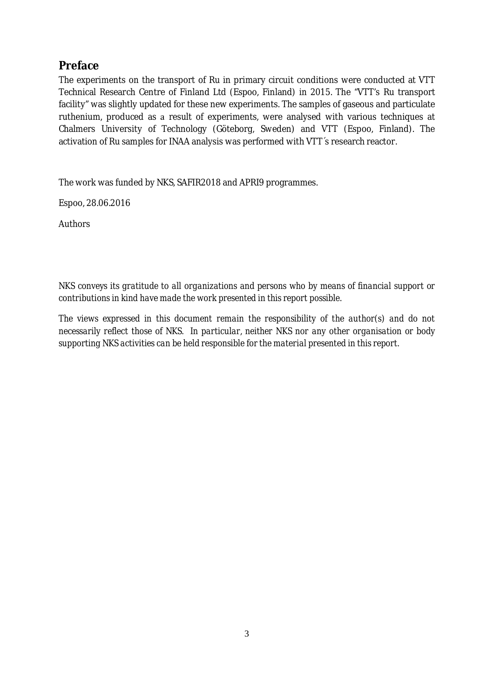## **Preface**

The experiments on the transport of Ru in primary circuit conditions were conducted at VTT Technical Research Centre of Finland Ltd (Espoo, Finland) in 2015. The "VTT's Ru transport facility" was slightly updated for these new experiments. The samples of gaseous and particulate ruthenium, produced as a result of experiments, were analysed with various techniques at Chalmers University of Technology (Göteborg, Sweden) and VTT (Espoo, Finland). The activation of Ru samples for INAA analysis was performed with VTT´s research reactor.

The work was funded by NKS, SAFIR2018 and APRI9 programmes.

Espoo, 28.06.2016

**Authors** 

*NKS conveys its gratitude to all organizations and persons who by means of financial support or contributions in kind have made the work presented in this report possible.*

*The views expressed in this document remain the responsibility of the author(s) and do not necessarily reflect those of NKS. In particular, neither NKS nor any other organisation or body supporting NKS activities can be held responsible for the material presented in this report.*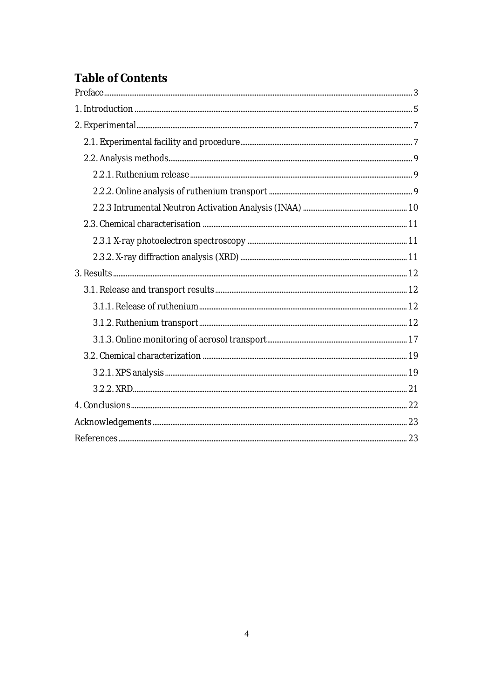## **Table of Contents**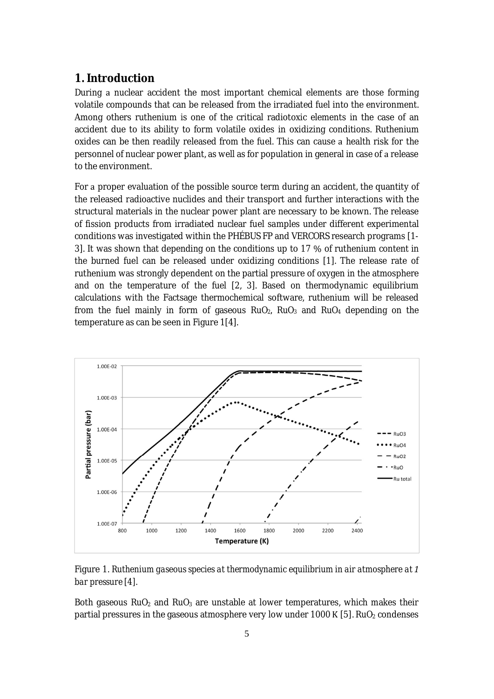## **1. Introduction**

During a nuclear accident the most important chemical elements are those forming volatile compounds that can be released from the irradiated fuel into the environment. Among others ruthenium is one of the critical radiotoxic elements in the case of an accident due to its ability to form volatile oxides in oxidizing conditions. Ruthenium oxides can be then readily released from the fuel. This can cause a health risk for the personnel of nuclear power plant, as well as for population in general in case of a release to the environment.

For a proper evaluation of the possible source term during an accident, the quantity of the released radioactive nuclides and their transport and further interactions with the structural materials in the nuclear power plant are necessary to be known. The release of fission products from irradiated nuclear fuel samples under different experimental conditions was investigated within the PHÉBUS FP and VERCORS research programs [1- 3]. It was shown that depending on the conditions up to 17 % of ruthenium content in the burned fuel can be released under oxidizing conditions [1]. The release rate of ruthenium was strongly dependent on the partial pressure of oxygen in the atmosphere and on the temperature of the fuel [2, 3]. Based on thermodynamic equilibrium calculations with the Factsage thermochemical software, ruthenium will be released from the fuel mainly in form of gaseous  $RuO<sub>2</sub>$ ,  $RuO<sub>3</sub>$  and  $RuO<sub>4</sub>$  depending on the temperature as can be seen in Figure 1[4].



Figure 1. *Ruthenium gaseous species at thermodynamic equilibrium in air atmosphere atͷ bar pressure [4].*

Both gaseous  $RuO<sub>2</sub>$  and  $RuO<sub>3</sub>$  are unstable at lower temperatures, which makes their partial pressures in the gaseous atmosphere very low under 1000 K [5]. RuO<sub>2</sub> condenses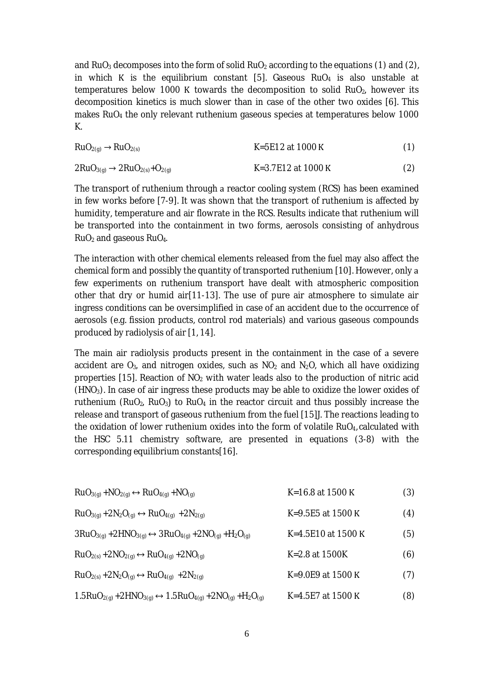and RuO<sub>3</sub> decomposes into the form of solid RuO<sub>2</sub> according to the equations (1) and (2), in which K is the equilibrium constant [5]. Gaseous  $RuO<sub>4</sub>$  is also unstable at temperatures below 1000 K towards the decomposition to solid RuO<sub>2</sub>, however its decomposition kinetics is much slower than in case of the other two oxides [6]. This makes RuO<sup>4</sup> the only relevant ruthenium gaseous species at temperatures below 1000 K.

| $RuO2(g) \rightarrow RuO2(s)$                    | K=5E12 at 1000 K   | (1) |
|--------------------------------------------------|--------------------|-----|
| $2RuO_{3(q)} \rightarrow 2RuO_{2(s)} + O_{2(q)}$ | K=3.7E12 at 1000 K | (2) |

The transport of ruthenium through a reactor cooling system (RCS) has been examined in few works before [7-9]. It was shown that the transport of ruthenium is affected by humidity, temperature and air flowrate in the RCS. Results indicate that ruthenium will be transported into the containment in two forms, aerosols consisting of anhydrous  $RuO<sub>2</sub>$  and gaseous  $RuO<sub>4</sub>$ .

The interaction with other chemical elements released from the fuel may also affect the chemical form and possibly the quantity of transported ruthenium [10]. However, only few experiments on ruthenium transport have dealt with atmospheric composition other that dry or humid air[11-13]. The use of pure air atmosphere to simulate air ingress conditions can be oversimplified in case of an accident due to the occurrence of aerosols (e.g. fission products, control rod materials) and various gaseous compounds produced by radiolysis of air [1, 14].

The main air radiolysis products present in the containment in the case of a severe accident are  $O_3$ , and nitrogen oxides, such as  $NO_2$  and  $N_2O$ , which all have oxidizing properties [15]. Reaction of  $NO<sub>2</sub>$  with water leads also to the production of nitric acid  $(HNO<sub>3</sub>)$ . In case of air ingress these products may be able to oxidize the lower oxides of ruthenium (RuO<sub>2</sub>, RuO<sub>3</sub>) to RuO<sub>4</sub> in the reactor circuit and thus possibly increase the release and transport of gaseous ruthenium from the fuel [15]J. The reactions leading to the oxidation of lower ruthenium oxides into the form of volatile RuO<sub>4</sub>, calculated with the HSC 5.11 chemistry software, are presented in equations (3-8) with the corresponding equilibrium constants[16].

| $RuO_{3(q)} + NO_{2(q)} \leftrightarrow RuO_{4(q)} + NO_{(q)}$                       | K=16.8 at 1500 K      | (3) |
|--------------------------------------------------------------------------------------|-----------------------|-----|
| $RuO_{3(q)} + 2N_2O_{(q)} \leftrightarrow RuO_{4(q)} + 2N_{2(q)}$                    | K=9.5E5 at 1500 K     | (4) |
| $3RuO_{3(q)} + 2HNO_{3(q)} \leftrightarrow 3RuO_{4(q)} + 2NO_{(q)} + H_2O_{(q)}$     | K=4.5E10 at 1500 K    | (5) |
| $RuO_{2(s)} + 2NO_{2(q)} \leftrightarrow RuO_{4(q)} + 2NO_{(q)}$                     | K=2.8 at 1500K        | (6) |
| $RuO_{2(s)} + 2N_2O_{(q)} \leftrightarrow RuO_{4(q)} + 2N_{2(q)}$                    | K=9.0E9 at 1500 K     | (7) |
| $1.5RuO_{2(q)} + 2HNO_{3(q)} \leftrightarrow 1.5RuO_{4(q)} + 2NO_{(q)} + H_2O_{(q)}$ | $K = 4.5E7$ at 1500 K | (8) |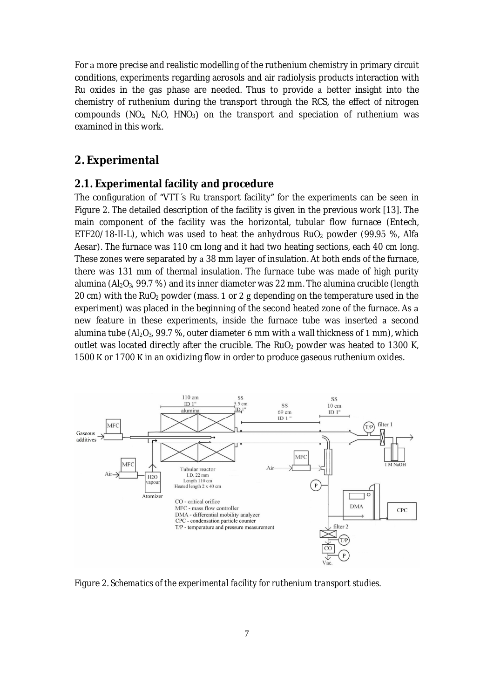For a more precise and realistic modelling of the ruthenium chemistry in primary circuit conditions, experiments regarding aerosols and air radiolysis products interaction with Ru oxides in the gas phase are needed. Thus to provide a better insight into the chemistry of ruthenium during the transport through the RCS, the effect of nitrogen compounds (NO<sub>2</sub>, N<sub>2</sub>O, HNO<sub>3</sub>) on the transport and speciation of ruthenium was examined in this work.

## **2. Experimental**

#### **2.1. Experimental facility and procedure**

The configuration of "VTT´s Ru transport facility" for the experiments can be seen in Figure 2. The detailed description of the facility is given in the previous work [13]. The main component of the facility was the horizontal, tubular flow furnace (Entech, ETF20/18-II-L), which was used to heat the anhydrous  $RuO<sub>2</sub>$  powder (99.95 %, Alfa Aesar). The furnace was 110 cm long and it had two heating sections, each 40 cm long. These zones were separated by a 38 mm layer of insulation. At both ends of the furnace, there was 131 mm of thermal insulation. The furnace tube was made of high purity alumina ( $A_1O_3$ , 99.7 %) and its inner diameter was 22 mm. The alumina crucible (length 20 cm) with the RuO<sub>2</sub> powder (mass. 1 or 2 g depending on the temperature used in the experiment) was placed in the beginning of the second heated zone of the furnace. As a new feature in these experiments, inside the furnace tube was inserted a second alumina tube (Al<sub>2</sub>O<sub>3</sub>, 99.7 %, outer diameter 6 mm with a wall thickness of 1 mm), which outlet was located directly after the crucible. The RuO<sub>2</sub> powder was heated to 1300 K, 1500 K or 1700 K in an oxidizing flow in order to produce gaseous ruthenium oxides.



Figure 2. *Schematics of the experimental facility for ruthenium transport studies.*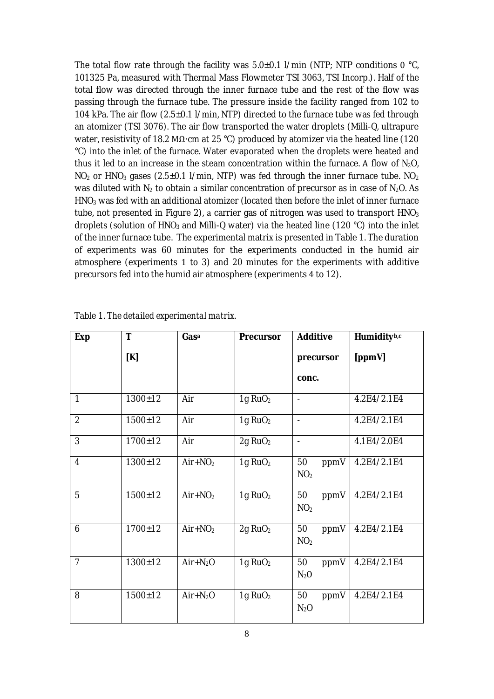The total flow rate through the facility was  $5.0\pm0.1$  l/min (NTP; NTP conditions 0 °C, 101325 Pa, measured with Thermal Mass Flowmeter TSI 3063, TSI Incorp.). Half of the total flow was directed through the inner furnace tube and the rest of the flow was passing through the furnace tube. The pressure inside the facility ranged from 102 to 104 kPa. The air flow (2.5±0.1 l/min, NTP) directed to the furnace tube was fed through an atomizer (TSI 3076). The air flow transported the water droplets (Milli-Q, ultrapure water, resistivity of 18.2 M $\Omega$ ·cm at 25 °C) produced by atomizer via the heated line (120 °C) into the inlet of the furnace. Water evaporated when the droplets were heated and thus it led to an increase in the steam concentration within the furnace. A flow of  $N_2O$ ,  $NO<sub>2</sub>$  or HNO<sub>3</sub> gases (2.5±0.1 l/min, NTP) was fed through the inner furnace tube. NO<sub>2</sub> was diluted with  $N_2$  to obtain a similar concentration of precursor as in case of  $N_2O$ . As  $HNO<sub>3</sub>$  was fed with an additional atomizer (located then before the inlet of inner furnace tube, not presented in Figure 2), a carrier gas of nitrogen was used to transport  $HNO<sub>3</sub>$ droplets (solution of HNO<sub>3</sub> and Milli-Q water) via the heated line (120 °C) into the inlet of the inner furnace tube. The experimental matrix is presented in Table 1. The duration of experiments was 60 minutes for the experiments conducted in the humid air atmosphere (experiments 1 to 3) and 20 minutes for the experiments with additive precursors fed into the humid air atmosphere (experiments 4 to 12).

| Exp            | T             | Gasa      | Precursor           | Additive                      | Humidityb,c |
|----------------|---------------|-----------|---------------------|-------------------------------|-------------|
|                | [K]           |           |                     | precursor                     | [ppmV]      |
|                |               |           |                     | conc.                         |             |
| 1              | $1300 \pm 12$ | Air       | 1g RuO <sub>2</sub> | $\overline{a}$                | 4.2E4/2.1E4 |
| $\overline{2}$ | $1500 \pm 12$ | Air       | 1g RuO <sub>2</sub> | $\overline{\phantom{a}}$      | 4.2E4/2.1E4 |
| 3              | 1700±12       | Air       | 2g RuO <sub>2</sub> | $\blacksquare$                | 4.1E4/2.0E4 |
| 4              | $1300 \pm 12$ | $Air+NO2$ | 1g RuO <sub>2</sub> | 50<br>ppmV<br>NO <sub>2</sub> | 4.2E4/2.1E4 |
| 5              | $1500 + 12$   | $Air+NO2$ | 1g RuO <sub>2</sub> | 50<br>ppmV<br>NO <sub>2</sub> | 4.2E4/2.1E4 |
| 6              | 1700±12       | $Air+NO2$ | 2g RuO <sub>2</sub> | 50<br>ppmV<br>NO <sub>2</sub> | 4.2E4/2.1E4 |
| $\overline{7}$ | $1300 \pm 12$ | $Air+N2O$ | 1g RuO <sub>2</sub> | 50<br>ppmV<br>$N_2$ O         | 4.2E4/2.1E4 |
| 8              | $1500 \pm 12$ | $Air+N2O$ | 1g RuO <sub>2</sub> | 50<br>ppmV<br>$N_2O$          | 4.2E4/2.1E4 |

Table 1. *The detailed experimental matrix.*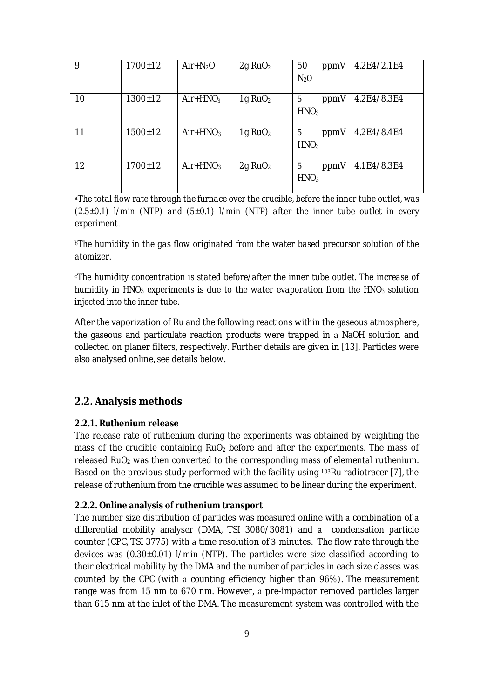| 9  | $1700 \pm 12$ | $Air+N2O$  | 2g RuO <sub>2</sub> | 50<br>ppmV                    | 4.2E4/2.1E4 |
|----|---------------|------------|---------------------|-------------------------------|-------------|
|    |               |            |                     | $N_2O$                        |             |
| 10 | $1300 \pm 12$ | $Air+HNO3$ | 1g RuO <sub>2</sub> | 5<br>ppmV<br>HNO <sub>3</sub> | 4.2E4/8.3E4 |
| 11 | $1500 \pm 12$ | $Air+HNO3$ | 1g $RuO2$           | 5<br>ppmV<br>HNO <sub>3</sub> | 4.2E4/8.4E4 |
| 12 | $1700 \pm 12$ | $Air+HNO3$ | 2g RuO <sub>2</sub> | 5<br>ppmV<br>HNO <sub>3</sub> | 4.1E4/8.3E4 |

*<sup>a</sup>The total flow rate through the furnace over the crucible, before the inner tube outlet, was (2.5±0.1) l/min (NTP) and (5±0.1) l/min (NTP) after the inner tube outlet in every experiment.*

*<sup>b</sup>The humidity in the gas flow originated from the water based precursor solution of the atomizer.*

*<sup>c</sup>The humidity concentration is stated before/after the inner tube outlet. The increase of humidity in HNO<sup>3</sup> experiments is due to the water evaporation from the HNO<sup>3</sup> solution injected into the inner tube.*

After the vaporization of Ru and the following reactions within the gaseous atmosphere, the gaseous and particulate reaction products were trapped in NaOH solution and collected on planer filters, respectively. Further details are given in [13]. Particles were also analysed online, see details below.

## **2.2. Analysis methods**

### **2.2.1. Ruthenium release**

The release rate of ruthenium during the experiments was obtained by weighting the mass of the crucible containing  $RuO<sub>2</sub>$  before and after the experiments. The mass of released  $RuO<sub>2</sub>$  was then converted to the corresponding mass of elemental ruthenium. Based on the previous study performed with the facility using <sup>103</sup>Ru radiotracer [7], the release of ruthenium from the crucible was assumed to be linear during the experiment.

#### **2.2.2. Online analysis of ruthenium transport**

The number size distribution of particles was measured online with a combination of a differential mobility analyser (DMA, TSI 3080/3081) and condensation particle counter (CPC, TSI 3775) with a time resolution of 3 minutes. The flow rate through the devices was (0.30±0.01) l/min (NTP). The particles were size classified according to their electrical mobility by the DMA and the number of particles in each size classes was counted by the CPC (with a counting efficiency higher than 96%). The measurement range was from 15 nm to 670 nm. However, a pre-impactor removed particles larger than 615 nm at the inlet of the DMA. The measurement system was controlled with the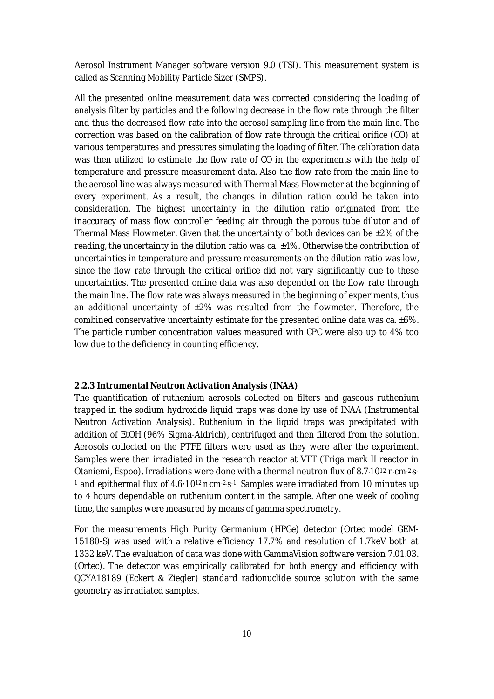Aerosol Instrument Manager software version 9.0 (TSI). This measurement system is called as Scanning Mobility Particle Sizer (SMPS).

All the presented online measurement data was corrected considering the loading of analysis filter by particles and the following decrease in the flow rate through the filter and thus the decreased flow rate into the aerosol sampling line from the main line. The correction was based on the calibration of flow rate through the critical orifice (CO) at various temperatures and pressures simulating the loading of filter. The calibration data was then utilized to estimate the flow rate of CO in the experiments with the help of temperature and pressure measurement data. Also the flow rate from the main line to the aerosol line was always measured with Thermal Mass Flowmeter at the beginning of every experiment. As a result, the changes in dilution ration could be taken into consideration. The highest uncertainty in the dilution ratio originated from the inaccuracy of mass flow controller feeding air through the porous tube dilutor and of Thermal Mass Flowmeter. Given that the uncertainty of both devices can be  $\pm 2\%$  of the reading, the uncertainty in the dilution ratio was ca.  $\pm$ 4%. Otherwise the contribution of uncertainties in temperature and pressure measurements on the dilution ratio was low, since the flow rate through the critical orifice did not vary significantly due to these uncertainties. The presented online data was also depended on the flow rate through the main line. The flow rate was always measured in the beginning of experiments, thus an additional uncertainty of  $\pm 2\%$  was resulted from the flowmeter. Therefore, the combined conservative uncertainty estimate for the presented online data was ca.  $\pm 6\%$ . The particle number concentration values measured with CPC were also up to 4% too low due to the deficiency in counting efficiency.

#### **2.2.3 Intrumental Neutron Activation Analysis (INAA)**

The quantification of ruthenium aerosols collected on filters and gaseous ruthenium trapped in the sodium hydroxide liquid traps was done by use of INAA (Instrumental Neutron Activation Analysis). Ruthenium in the liquid traps was precipitated with addition of EtOH (96% Sigma-Aldrich), centrifuged and then filtered from the solution. Aerosols collected on the PTFE filters were used as they were after the experiment. Samples were then irradiated in the research reactor at VTT (Triga mark II reactor in Otaniemi, Espoo). Irradiations were done with a thermal neutron flux of 8.7.10<sup>12</sup> n.cm-2.s. <sup>1</sup> and epithermal flux of 4.6·10<sup>12</sup> ncm<sup>-2</sup>s<sup>-1</sup>. Samples were irradiated from 10 minutes up to 4 hours dependable on ruthenium content in the sample. After one week of cooling time, the samples were measured by means of gamma spectrometry.

For the measurements High Purity Germanium (HPGe) detector (Ortec model GEM-15180-S) was used with a relative efficiency 17.7% and resolution of 1.7keV both at 1332 keV. The evaluation of data was done with GammaVision software version 7.01.03. (Ortec). The detector was empirically calibrated for both energy and efficiency with QCYA18189 (Eckert Ƭ Ziegler) standard radionuclide source solution with the same geometry as irradiated samples.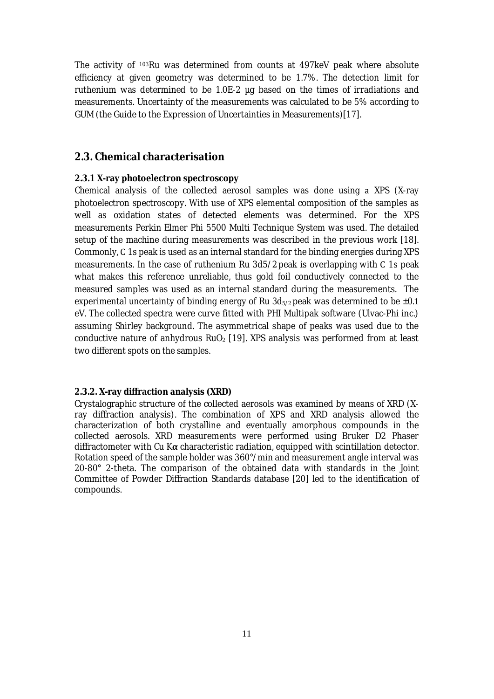The activity of <sup>103</sup>Ru was determined from counts at 497keV peak where absolute efficiency at given geometry was determined to be 1.7%. The detection limit for ruthenium was determined to be 1.0E-2 µg based on the times of irradiations and measurements. Uncertainty of the measurements was calculated to be 5% according to GUM (the Guide to the Expression of Uncertainties in Measurements)[17].

### **2.3. Chemical characterisation**

#### **2.3.1 X-ray photoelectron spectroscopy**

Chemical analysis of the collected aerosol samples was done using a XPS (X-ray photoelectron spectroscopy. With use of XPS elemental composition of the samples as well as oxidation states of detected elements was determined. For the XPS measurements Perkin Elmer Phi 5500 Multi Technique System was used. The detailed setup of the machine during measurements was described in the previous work [18]. Commonly, C 1s peak is used as an internal standard for the binding energies during XPS measurements. In the case of ruthenium Ru 3d5/2 peak is overlapping with C 1s peak what makes this reference unreliable, thus gold foil conductively connected to the measured samples was used as an internal standard during the measurements. The experimental uncertainty of binding energy of Ru 3d<sub>5/2</sub> peak was determined to be ±0.1 eV. The collected spectra were curve fitted with PHI Multipak software (Ulvac-Phi inc.) assuming Shirley background. The asymmetrical shape of peaks was used due to the conductive nature of anhydrous  $RuO<sub>2</sub>$  [19]. XPS analysis was performed from at least two different spots on the samples.

#### **2.3.2. X-ray diffraction analysis (XRD)**

Crystalographic structure of the collected aerosols was examined by means of XRD (Xray diffraction analysis). The combination of XPS and XRD analysis allowed the characterization of both crystalline and eventually amorphous compounds in the collected aerosols. XRD measurements were performed using Bruker D2 Phaser diffractometer with Cu  $K\alpha$  characteristic radiation, equipped with scintillation detector. Rotation speed of the sample holder was 360°/min and measurement angle interval was 20-80° 2-theta. The comparison of the obtained data with standards in the Joint Committee of Powder Diffraction Standards database [20] led to the identification of compounds.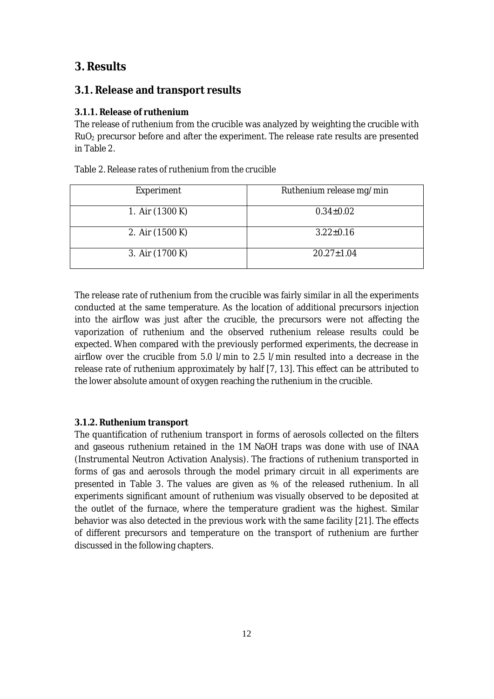## **3. Results**

## **3.1. Release and transport results**

## **3.1.1. Release of ruthenium**

The release of ruthenium from the crucible was analyzed by weighting the crucible with RuO<sup>2</sup> precursor before and after the experiment. The release rate results are presented in Table 2.

|  |  |  |  | Table 2. Release rates of ruthenium from the crucible |
|--|--|--|--|-------------------------------------------------------|
|--|--|--|--|-------------------------------------------------------|

| Experiment      | Ruthenium release mg/min |
|-----------------|--------------------------|
| 1. Air (1300 K) | $0.34 \pm 0.02$          |
| 2. Air (1500 K) | $3.22 \pm 0.16$          |
| 3. Air (1700 K) | $20.27 \pm 1.04$         |

The release rate of ruthenium from the crucible was fairly similar in all the experiments conducted at the same temperature. As the location of additional precursors injection into the airflow was just after the crucible, the precursors were not affecting the vaporization of ruthenium and the observed ruthenium release results could be expected. When compared with the previously performed experiments, the decrease in airflow over the crucible from 5.0 l/min to 2.5 l/min resulted into decrease in the release rate of ruthenium approximately by half [7, 13]. This effect can be attributed to the lower absolute amount of oxygen reaching the ruthenium in the crucible.

## **3.1.2. Ruthenium transport**

The quantification of ruthenium transport in forms of aerosols collected on the filters and gaseous ruthenium retained in the 1M NaOH traps was done with use of INAA (Instrumental Neutron Activation Analysis). The fractions of ruthenium transported in forms of gas and aerosols through the model primary circuit in all experiments are presented in Table 3. The values are given as % of the released ruthenium. In all experiments significant amount of ruthenium was visually observed to be deposited at the outlet of the furnace, where the temperature gradient was the highest. Similar behavior was also detected in the previous work with the same facility [21]. The effects of different precursors and temperature on the transport of ruthenium are further discussed in the following chapters.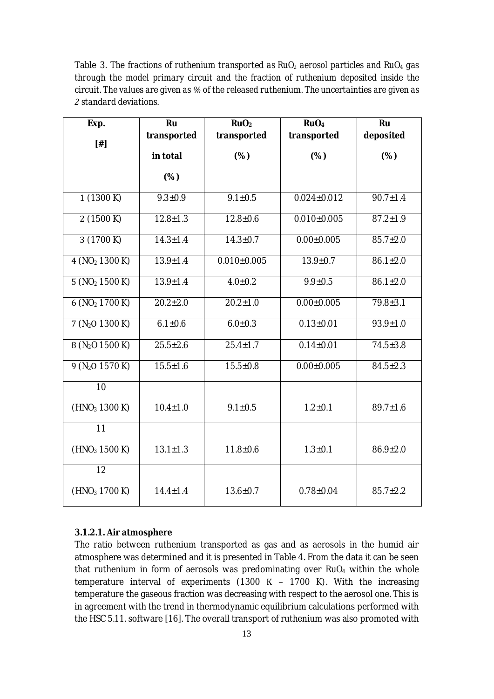Table 3. *The fractions of ruthenium transported as RuO<sup>2</sup> aerosol particles and RuO<sup>4</sup> gas through the model primary circuit and the fraction of ruthenium deposited inside the circuit. The values are given asάof the released ruthenium. The uncertainties are given as standard deviations.*

| Exp.                        | Ru             | RuO <sub>2</sub> | RuO <sub>4</sub>  | Ru             |
|-----------------------------|----------------|------------------|-------------------|----------------|
|                             | transported    | transported      | transported       | deposited      |
| $[$ #]                      | in total       | (%)              | (% )              | (%)            |
|                             |                |                  |                   |                |
|                             | (%)            |                  |                   |                |
| 1(1300K)                    | $9.3 \pm 0.9$  | $9.1 \pm 0.5$    | $0.024 \pm 0.012$ | $90.7 \pm 1.4$ |
| 2(1500 K)                   | $12.8 \pm 1.3$ | $12.8 \pm 0.6$   | $0.010\pm0.005$   | $87.2 \pm 1.9$ |
| 3(1700 K)                   | $14.3 \pm 1.4$ | $14.3 \pm 0.7$   | $0.00 \pm 0.005$  | $85.7 \pm 2.0$ |
| 4 (NO <sub>2</sub> 1300 K)  | $13.9 \pm 1.4$ | $0.010\pm0.005$  | $13.9 \pm 0.7$    | $86.1 \pm 2.0$ |
| 5 (NO <sub>2</sub> 1500 K)  | $13.9 \pm 1.4$ | $4.0 \pm 0.2$    | $9.9 \pm 0.5$     | $86.1 \pm 2.0$ |
| 6(NO <sub>2</sub> 1700 K)   | $20.2 \pm 2.0$ | $20.2 \pm 1.0$   | $0.00 \pm 0.005$  | $79.8 \pm 3.1$ |
| 7 (N <sub>2</sub> O 1300 K) | $6.1 \pm 0.6$  | $6.0 \pm 0.3$    | $0.13 \pm 0.01$   | $93.9 \pm 1.0$ |
| 8 (N <sub>2</sub> O 1500 K) | $25.5 \pm 2.6$ | $25.4 \pm 1.7$   | $0.14 \pm 0.01$   | $74.5 \pm 3.8$ |
| $9(N_2O 1570 K)$            | $15.5 \pm 1.6$ | $15.5 \pm 0.8$   | $0.00 \pm 0.005$  | $84.5 \pm 2.3$ |
| 10                          |                |                  |                   |                |
| (HNO <sub>3</sub> 1300 K)   | $10.4 \pm 1.0$ | $9.1 \pm 0.5$    | $1.2 + 0.1$       | $89.7 \pm 1.6$ |
| $\overline{11}$             |                |                  |                   |                |
| (HNO <sub>3</sub> 1500 K)   | $13.1 \pm 1.3$ | $11.8 + 0.6$     | $1.3 + 0.1$       | $86.9 \pm 2.0$ |
| $\overline{12}$             |                |                  |                   |                |
| (HNO <sub>3</sub> 1700 K)   | $14.4 \pm 1.4$ | $13.6 \pm 0.7$   | $0.78 \pm 0.04$   | $85.7 \pm 2.2$ |

## **3.1.2.1. Air atmosphere**

The ratio between ruthenium transported as gas and as aerosols in the humid air atmosphere was determined and it is presented in Table 4. From the data it can be seen that ruthenium in form of aerosols was predominating over  $RuO<sub>4</sub>$  within the whole temperature interval of experiments (1300 K - 1700 K). With the increasing temperature the gaseous fraction was decreasing with respect to the aerosol one. This is in agreement with the trend in thermodynamic equilibrium calculations performed with the HSC 5.11. software [16]. The overall transport of ruthenium was also promoted with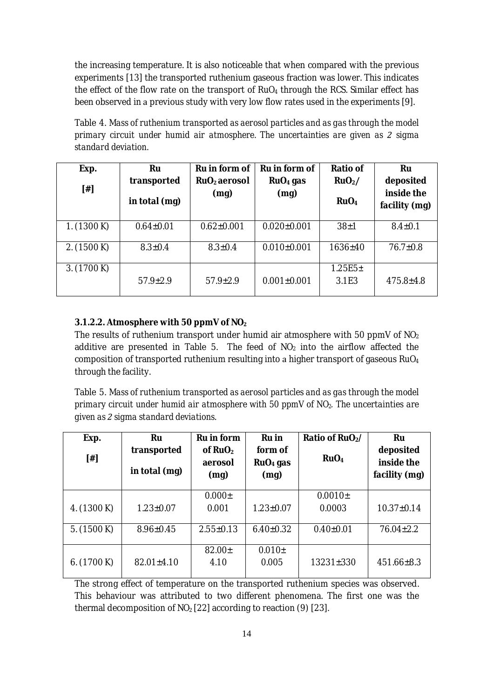the increasing temperature. It is also noticeable that when compared with the previous experiments [13] the transported ruthenium gaseous fraction was lower. This indicates the effect of the flow rate on the transport of  $RuO<sub>4</sub>$  through the RCS. Similar effect has been observed in a previous study with very low flow rates used in the experiments [9].

Table 4. *Mass of ruthenium transported as aerosol particles and as gas through the model primary circuit under humid air atmosphere. The uncertainties are given as sigma standard deviation.*

| Exp.        | Ru              | Ru in form of            | Ru in form of     | Ratio of              | Ru                          |
|-------------|-----------------|--------------------------|-------------------|-----------------------|-----------------------------|
|             | transported     | RuO <sub>2</sub> aerosol | $RuO4$ gas        | RuO <sub>2</sub> /    | deposited                   |
| $[$ #]      | in total (mg)   | (mq)                     | (mg)              | RuO <sub>4</sub>      | inside the<br>facility (mg) |
| 1. (1300 K) | $0.64 \pm 0.01$ | $0.62 \pm 0.001$         | $0.020 \pm 0.001$ | $38 + 1$              | $8.4 \pm 0.1$               |
| 2. (1500 K) | $8.3 \pm 0.4$   | $8.3 \pm 0.4$            | $0.010\pm0.001$   | $1636 \pm 40$         | $76.7 \pm 0.8$              |
| 3. (1700 K) | $57.9 \pm 2.9$  | $57.9 \pm 2.9$           | $0.001 \pm 0.001$ | $1.25E5 \pm$<br>3.1E3 | $475.8 \pm 4.8$             |
|             |                 |                          |                   |                       |                             |

## **3.1.2.2. Atmosphere with 50 ppmV of NOʹ**

The results of ruthenium transport under humid air atmosphere with 50 ppmV of  $NO<sub>2</sub>$ additive are presented in Table 5. The feed of  $NO<sub>2</sub>$  into the airflow affected the composition of transported ruthenium resulting into a higher transport of gaseous  $RuO<sub>4</sub>$ through the facility.

Table 5. *Mass of ruthenium transported as aerosol particles and as gas through the model primary circuit under humid air atmosphere with 50 ppmV of NO2ǤThe uncertainties are given assigma standard deviations.*

| Exp.        | Ru               | Ru in form      | Ru in           | Ratio of RuO <sub>2</sub> / | Ru               |
|-------------|------------------|-----------------|-----------------|-----------------------------|------------------|
|             | transported      | of $RuO2$       | form of         |                             | deposited        |
| $[$ #]      |                  | aerosol         | $RuO4$ gas      | RuO <sub>4</sub>            | inside the       |
|             | in total (mg)    | (mg)            | (mg)            |                             | facility (mg)    |
|             |                  |                 |                 |                             |                  |
|             |                  | $0.000 \pm$     |                 | $0.0010\pm$                 |                  |
| 4. (1300 K) | $1.23 \pm 0.07$  | 0.001           | $1.23 \pm 0.07$ | 0.0003                      | $10.37 \pm 0.14$ |
|             |                  |                 |                 |                             |                  |
| 5. (1500 K) | $8.96 \pm 0.45$  | $2.55 \pm 0.13$ | $6.40 \pm 0.32$ | $0.40 \pm 0.01$             | $76.04 \pm 2.2$  |
|             |                  |                 |                 |                             |                  |
|             |                  | $82.00 \pm$     | $0.010\pm$      |                             |                  |
| 6. (1700 K) | $82.01 \pm 4.10$ | 4.10            | 0.005           | $13231 \pm 330$             | $451.66 \pm 8.3$ |
|             |                  |                 |                 |                             |                  |

The strong effect of temperature on the transported ruthenium species was observed. This behaviour was attributed to two different phenomena. The first one was the thermal decomposition of  $NO<sub>2</sub>[22]$  according to reaction (9) [23].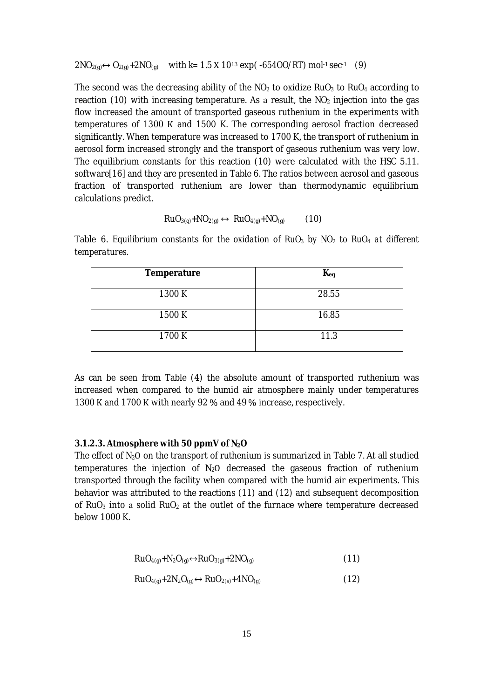$2NO_{2(q)} \leftrightarrow O_{2(q)} + 2NO_{(q)}$  with  $k=1.5 \text{ X } 10^{13} \text{ exp}(-65400/RT)$  mol<sup>-1</sup>.sec<sup>-1</sup> (9)

The second was the decreasing ability of the  $NO<sub>2</sub>$  to oxidize RuO<sub>3</sub> to RuO<sub>4</sub> according to reaction (10) with increasing temperature. As a result, the  $NO<sub>2</sub>$  injection into the gas flow increased the amount of transported gaseous ruthenium in the experiments with temperatures of 1300 K and 1500 K. The corresponding aerosol fraction decreased significantly. When temperature was increased to 1700 K, the transport of ruthenium in aerosol form increased strongly and the transport of gaseous ruthenium was very low. The equilibrium constants for this reaction (10) were calculated with the HSC 5.11. software[16] and they are presented in Table 6. The ratios between aerosol and gaseous fraction of transported ruthenium are lower than thermodynamic equilibrium calculations predict.

$$
RuO_{3(g)}+NO_{2(g)} \leftrightarrow RuO_{4(g)}+NO_{(g)}
$$
 (10)

Table 6. *Equilibrium constants for the oxidation of RuO<sup>3</sup> by NO<sup>2</sup> to RuO<sup>4</sup> at different temperatures.*

| Temperature | $K_{eq}$ |
|-------------|----------|
| 1300 K      | 28.55    |
| 1500 K      | 16.85    |
| 1700 K      | 11.3     |

As can be seen from Table (4) the absolute amount of transported ruthenium was increased when compared to the humid air atmosphere mainly under temperatures 1300 K and 1700 K with nearly 92 % and 49 % increase, respectively.

#### **3.1.2.3. Atmosphere with 50 ppmV of N2O**

The effect of  $N_2O$  on the transport of ruthenium is summarized in Table 7. At all studied temperatures the injection of  $N<sub>2</sub>O$  decreased the gaseous fraction of ruthenium transported through the facility when compared with the humid air experiments. This behavior was attributed to the reactions (11) and (12) and subsequent decomposition of RuO<sub>3</sub> into a solid RuO<sub>2</sub> at the outlet of the furnace where temperature decreased below 1000 K.

$$
RuO_{4(g)} + N_2O_{(g)} \leftrightarrow RuO_{3(g)} + 2NO_{(g)}
$$
\n(11)

$$
RuO_{4(g)} + 2N_2O_{(g)} \leftrightarrow RuO_{2(s)} + 4NO_{(g)}
$$
\n(12)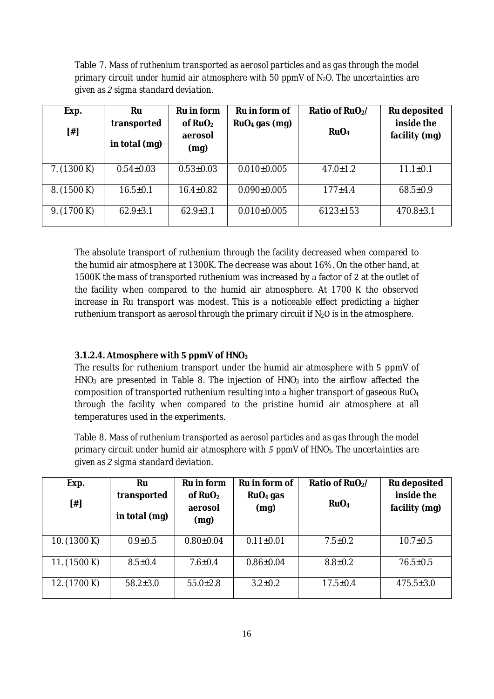Table 7. *Mass of ruthenium transported as aerosol particles and as gas through the model primary circuit under humid air atmosphere with 50 ppmV of N2O. The uncertainties are given assigma standard deviation.*

| Exp.        | Ru                           | Ru in form                   | Ru in form of     | Ratio of RuO <sub>2</sub> / | Ru deposited                |
|-------------|------------------------------|------------------------------|-------------------|-----------------------------|-----------------------------|
| $[$ #]      | transported<br>in total (mg) | of $RuO2$<br>aerosol<br>(mg) | $RuO4$ gas (mg)   | RuO <sub>4</sub>            | inside the<br>facility (mg) |
| 7. (1300 K) | $0.54 \pm 0.03$              | $0.53 \pm 0.03$              | $0.010\pm0.005$   | $47.0 \pm 1.2$              | $11.1 \pm 0.1$              |
| 8. (1500 K) | $16.5 \pm 0.1$               | $16.4 \pm 0.82$              | $0.090 \pm 0.005$ | $177 + 4.4$                 | $68.5 \pm 0.9$              |
| 9. (1700 K) | $62.9 \pm 3.1$               | $62.9 \pm 3.1$               | $0.010\pm0.005$   | $6123 \pm 153$              | $470.8 \pm 3.1$             |

The absolute transport of ruthenium through the facility decreased when compared to the humid air atmosphere at 1300K. The decrease was about 16%. On the other hand, at 1500K the mass of transported ruthenium was increased by a factor of 2 at the outlet of the facility when compared to the humid air atmosphere. At 1700 K the observed increase in Ru transport was modest. This is a noticeable effect predicting a higher ruthenium transport as aerosol through the primary circuit if  $N_2O$  is in the atmosphere.

### $3.1.2.4$ . Atmosphere with 5 ppmV of HNO<sub>3</sub>

The results for ruthenium transport under the humid air atmosphere with 5 ppmV of  $HNO<sub>3</sub>$  are presented in Table 8. The injection of  $HNO<sub>3</sub>$  into the airflow affected the composition of transported ruthenium resulting into a higher transport of gaseous RuO<sub>4</sub> through the facility when compared to the pristine humid air atmosphere at all temperatures used in the experiments.

Table 8. *Mass of ruthenium transported as aerosol particles and as gas through the model primary circuit under humid air atmosphere withͻppmV of HNO3ǤThe uncertainties are given assigma standard deviation.*

| Exp.         | Ru             | Ru in form      | Ru in form of        | Ratio of RuO <sub>2</sub> / | Ru deposited    |
|--------------|----------------|-----------------|----------------------|-----------------------------|-----------------|
|              | transported    | of $RuO2$       | RuO <sub>4</sub> gas |                             | inside the      |
| $[\#]$       | in total (mg)  | aerosol<br>(mg) | (mg)                 | RuO <sub>4</sub>            | facility (mg)   |
| 10. (1300 K) | $0.9 \pm 0.5$  | $0.80{\pm}0.04$ | $0.11 \pm 0.01$      | $7.5 \pm 0.2$               | $10.7 \pm 0.5$  |
| 11. (1500 K) | $8.5 \pm 0.4$  | $7.6 \pm 0.4$   | $0.86 \pm 0.04$      | $8.8 \pm 0.2$               | $76.5 \pm 0.5$  |
| 12. (1700 K) | $58.2 \pm 3.0$ | $55.0 \pm 2.8$  | $3.2 \pm 0.2$        | $17.5 \pm 0.4$              | $475.5 \pm 3.0$ |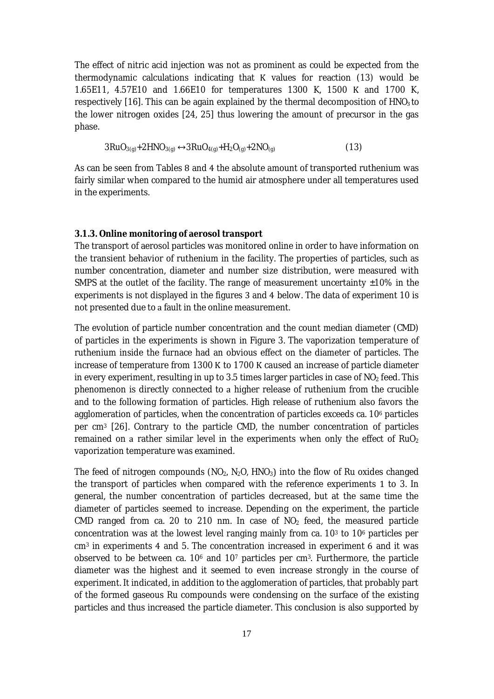The effect of nitric acid injection was not as prominent as could be expected from the thermodynamic calculations indicating that K values for reaction (13) would be 1.65E11, 4.57E10 and 1.66E10 for temperatures 1300 K, 1500 K and 1700 K, respectively  $[16]$ . This can be again explained by the thermal decomposition of  $HNO<sub>3</sub>$  to the lower nitrogen oxides [24, 25] thus lowering the amount of precursor in the gas phase.

$$
3RuO_{3(g)} + 2HNO_{3(g)} \leftrightarrow 3RuO_{4(g)} + H_2O_{(g)} + 2NO_{(g)}
$$
\n(13)

As can be seen from Tables 8 and 4 the absolute amount of transported ruthenium was fairly similar when compared to the humid air atmosphere under all temperatures used in the experiments.

#### **3.1.3. Online monitoring of aerosol transport**

The transport of aerosol particles was monitored online in order to have information on the transient behavior of ruthenium in the facility. The properties of particles, such as number concentration, diameter and number size distribution, were measured with SMPS at the outlet of the facility. The range of measurement uncertainty  $\pm 10\%$  in the experiments is not displayed in the figures 3 and 4 below. The data of experiment 10 is not presented due to a fault in the online measurement.

The evolution of particle number concentration and the count median diameter (CMD) of particles in the experiments is shown in Figure 3. The vaporization temperature of ruthenium inside the furnace had an obvious effect on the diameter of particles. The increase of temperature from 1300 K to 1700 K caused an increase of particle diameter in every experiment, resulting in up to 3.5 times larger particles in case of  $NO<sub>2</sub>$  feed. This phenomenon is directly connected to a higher release of ruthenium from the crucible and to the following formation of particles. High release of ruthenium also favors the agglomeration of particles, when the concentration of particles exceeds ca. 10<sup>6</sup> particles per cm<sup>3</sup> [26]. Contrary to the particle CMD, the number concentration of particles remained on a rather similar level in the experiments when only the effect of  $RuO<sub>2</sub>$ vaporization temperature was examined.

The feed of nitrogen compounds ( $NO<sub>2</sub>$ ,  $N<sub>2</sub>O$ , HNO<sub>3</sub>) into the flow of Ru oxides changed the transport of particles when compared with the reference experiments 1 to 3. In general, the number concentration of particles decreased, but at the same time the diameter of particles seemed to increase. Depending on the experiment, the particle CMD ranged from ca. 20 to 210 nm. In case of  $NO<sub>2</sub>$  feed, the measured particle concentration was at the lowest level ranging mainly from ca. 10<sup>3</sup> to 10<sup>6</sup> particles per cm<sup>3</sup> in experiments 4 and 5. The concentration increased in experiment 6 and it was observed to be between ca.  $10<sup>6</sup>$  and  $10<sup>7</sup>$  particles per cm<sup>3</sup>. Furthermore, the particle diameter was the highest and it seemed to even increase strongly in the course of experiment. It indicated, in addition to the agglomeration of particles, that probably part of the formed gaseous Ru compounds were condensing on the surface of the existing particles and thus increased the particle diameter. This conclusion is also supported by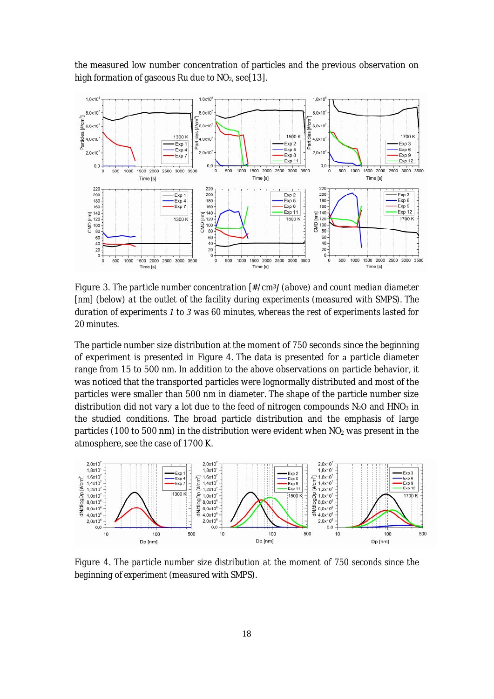the measured low number concentration of particles and the previous observation on high formation of gaseous Ru due to  $NO<sub>2</sub>$ , see[13].



Figure 3. *The particle number concentration [#/cm3Ȑ(above) and count median diameter [nm] (below) at the outlet of the facility during experiments (measured with SMPS). The duration of experimentsͷtowas 60 minutes, whereas the rest of experiments lasted for 20 minutes.*

The particle number size distribution at the moment of 750 seconds since the beginning of experiment is presented in Figure 4. The data is presented for a particle diameter range from 15 to 500 nm. In addition to the above observations on particle behavior, it was noticed that the transported particles were lognormally distributed and most of the particles were smaller than 500 nm in diameter. The shape of the particle number size distribution did not vary a lot due to the feed of nitrogen compounds  $N_2O$  and  $HNO_3$  in the studied conditions. The broad particle distribution and the emphasis of large particles (100 to 500 nm) in the distribution were evident when  $NO<sub>2</sub>$  was present in the atmosphere, see the case of 1700 K.



Figure 4. *The particle number size distribution at the moment of 750 seconds since the beginning of experiment (measured with SMPS).*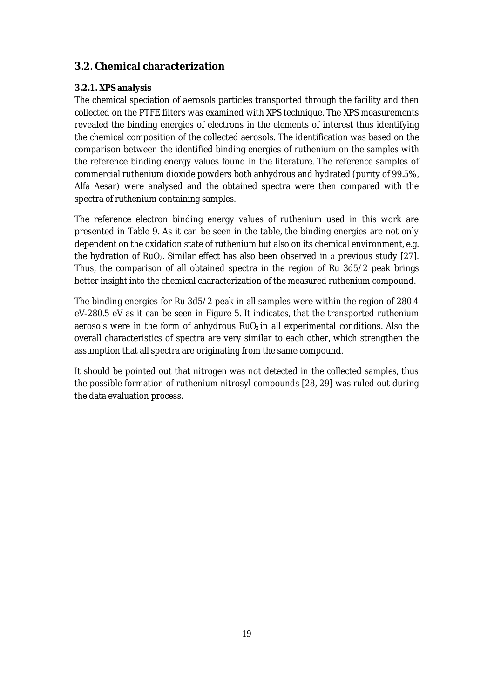## **3.2. Chemical characterization**

## **3.2.1. XPS analysis**

The chemical speciation of aerosols particles transported through the facility and then collected on the PTFE filters was examined with XPS technique. The XPS measurements revealed the binding energies of electrons in the elements of interest thus identifying the chemical composition of the collected aerosols. The identification was based on the comparison between the identified binding energies of ruthenium on the samples with the reference binding energy values found in the literature. The reference samples of commercial ruthenium dioxide powders both anhydrous and hydrated (purity of 99.5%, Alfa Aesar) were analysed and the obtained spectra were then compared with the spectra of ruthenium containing samples.

The reference electron binding energy values of ruthenium used in this work are presented in Table 9. As it can be seen in the table, the binding energies are not only dependent on the oxidation state of ruthenium but also on its chemical environment, e.g. the hydration of RuO<sub>2</sub>. Similar effect has also been observed in a previous study [27]. Thus, the comparison of all obtained spectra in the region of Ru 3d5/2 peak brings better insight into the chemical characterization of the measured ruthenium compound.

The binding energies for Ru 3d5/2 peak in all samples were within the region of 280.4 eV-280.5 eV as it can be seen in Figure 5. It indicates, that the transported ruthenium aerosols were in the form of anhydrous  $RuO<sub>2</sub>$  in all experimental conditions. Also the overall characteristics of spectra are very similar to each other, which strengthen the assumption that all spectra are originating from the same compound.

It should be pointed out that nitrogen was not detected in the collected samples, thus the possible formation of ruthenium nitrosyl compounds [28, 29] was ruled out during the data evaluation process.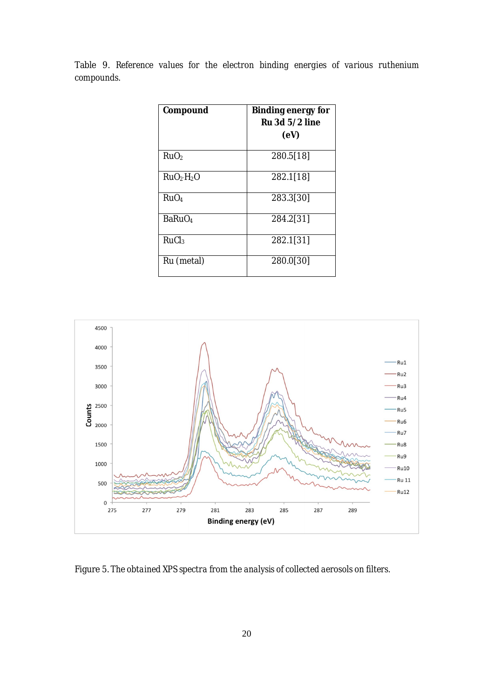Table 9. *Reference values for the electron binding energies of various ruthenium compounds.*

| Compound                           | Binding energy for |
|------------------------------------|--------------------|
|                                    | Ru 3d 5/2 line     |
|                                    | (eV)               |
| RuO <sub>2</sub>                   | 280.5[18]          |
| RuO <sub>2</sub> ·H <sub>2</sub> O | 282.1[18]          |
| Ru <sub>0</sub> <sub>4</sub>       | 283.3[30]          |
| BaRuO <sub>4</sub>                 | 284.2[31]          |
| RuCl <sub>3</sub>                  | 282.1[31]          |
| Ru (metal)                         | 280.0[30]          |



Figure 5. *The obtained XPS spectra from the analysis of collected aerosols on filters.*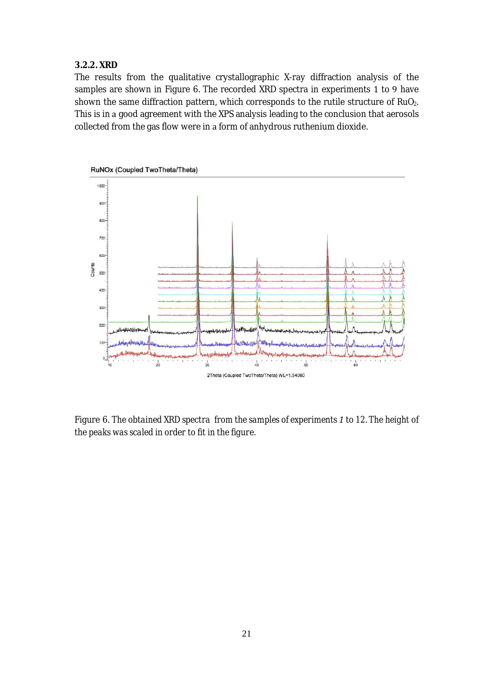### **3.2.2. XRD**

The results from the qualitative crystallographic X-ray diffraction analysis of the samples are shown in Figure 6. The recorded XRD spectra in experiments 1 to 9 have shown the same diffraction pattern, which corresponds to the rutile structure of RuO<sub>2</sub>. This is in a good agreement with the XPS analysis leading to the conclusion that aerosols collected from the gas flow were in a form of anhydrous ruthenium dioxide.



Figure 6. *The obtained XRD spectrafrom the samples of experimentsͷto 12. The height of the peaks was scaled in order to fit in the figure.*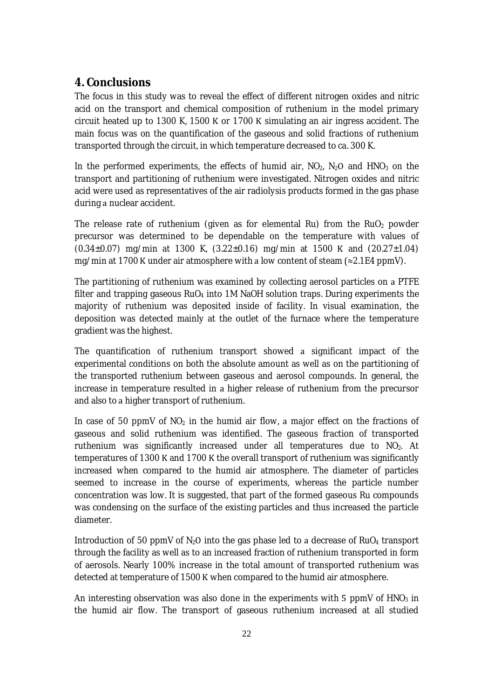## **4. Conclusions**

The focus in this study was to reveal the effect of different nitrogen oxides and nitric acid on the transport and chemical composition of ruthenium in the model primary circuit heated up to  $1300$  K,  $1500$  K or  $1700$  K simulating an air ingress accident. The main focus was on the quantification of the gaseous and solid fractions of ruthenium transported through the circuit, in which temperature decreased to ca. 300 K.

In the performed experiments, the effects of humid air,  $NO<sub>2</sub>$ ,  $N<sub>2</sub>O$  and  $HNO<sub>3</sub>$  on the transport and partitioning of ruthenium were investigated. Nitrogen oxides and nitric acid were used as representatives of the air radiolysis products formed in the gas phase during a nuclear accident.

The release rate of ruthenium (given as for elemental Ru) from the  $RuO<sub>2</sub>$  powder precursor was determined to be dependable on the temperature with values of  $(0.34\pm0.07)$  mg/min at 1300 K,  $(3.22\pm0.16)$  mg/min at 1500 K and  $(20.27\pm1.04)$ mg/min at 1700 K under air atmosphere with a low content of steam  $(\approx 2.1E4$  ppmV).

The partitioning of ruthenium was examined by collecting aerosol particles on a PTFE filter and trapping gaseous  $RuO<sub>4</sub>$  into 1M NaOH solution traps. During experiments the majority of ruthenium was deposited inside of facility. In visual examination, the deposition was detected mainly at the outlet of the furnace where the temperature gradient was the highest.

The quantification of ruthenium transport showed a significant impact of the experimental conditions on both the absolute amount as well as on the partitioning of the transported ruthenium between gaseous and aerosol compounds. In general, the increase in temperature resulted in a higher release of ruthenium from the precursor and also to a higher transport of ruthenium.

In case of 50 ppmV of  $NO<sub>2</sub>$  in the humid air flow, a major effect on the fractions of gaseous and solid ruthenium was identified. The gaseous fraction of transported ruthenium was significantly increased under all temperatures due to NO<sub>2</sub>. At temperatures of 1300 K and 1700 K the overall transport of ruthenium was significantly increased when compared to the humid air atmosphere. The diameter of particles seemed to increase in the course of experiments, whereas the particle number concentration was low. It is suggested, that part of the formed gaseous Ru compounds was condensing on the surface of the existing particles and thus increased the particle diameter.

Introduction of 50 ppmV of  $N_2O$  into the gas phase led to a decrease of RuO<sub>4</sub> transport through the facility as well as to an increased fraction of ruthenium transported in form of aerosols. Nearly 100% increase in the total amount of transported ruthenium was detected at temperature of 1500 K when compared to the humid air atmosphere.

An interesting observation was also done in the experiments with 5 ppmV of  $HNO<sub>3</sub>$  in the humid air flow. The transport of gaseous ruthenium increased at all studied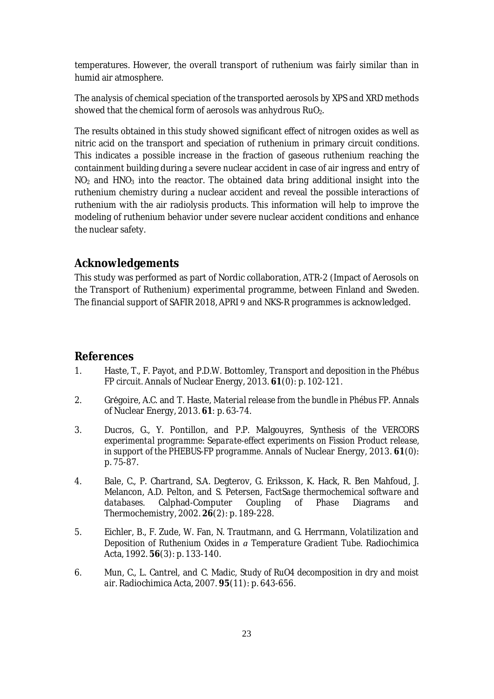temperatures. However, the overall transport of ruthenium was fairly similar than in humid air atmosphere.

The analysis of chemical speciation of the transported aerosols by XPS and XRD methods showed that the chemical form of aerosols was anhydrous  $RuO<sub>2</sub>$ .

The results obtained in this study showed significant effect of nitrogen oxides as well as nitric acid on the transport and speciation of ruthenium in primary circuit conditions. This indicates possible increase in the fraction of gaseous ruthenium reaching the containment building during a severe nuclear accident in case of air ingress and entry of  $NO<sub>2</sub>$  and HNO<sub>3</sub> into the reactor. The obtained data bring additional insight into the ruthenium chemistry during a nuclear accident and reveal the possible interactions of ruthenium with the air radiolysis products. This information will help to improve the modeling of ruthenium behavior under severe nuclear accident conditions and enhance the nuclear safety.

## **Acknowledgements**

This study was performed as part of Nordic collaboration, ATR-2 (Impact of Aerosols on the Transport of Ruthenium) experimental programme, between Finland and Sweden. The financial support of SAFIR 2018, APRI 9 and NKS-R programmes is acknowledged.

### **References**

- 1. Haste, T., F. Payot, and P.D.W. Bottomley, *Transport and deposition in the Phébus FP circuit.* Annals of Nuclear Energy, 2013. **61**(0): p. 102-121.
- 2. Greƴgoire, A.C. and T. Haste, *Material release from the bundle in Phébus FP.* Annals of Nuclear Energy, 2013. 61: p. 63-74.
- 3. Ducros, G., Y. Pontillon, and P.P. Malgouyres, *Synthesis of the VERCORS experimental programme: Separate-effect experiments on Fission Product release, in support of the PHEBUS-FP programme.* Annals of Nuclear Energy, 2013. **61**(0): p. 75-87.
- 4. Bale, C., P. Chartrand, S.A. Degterov, G. Eriksson, K. Hack, R. Ben Mahfoud, J. Melancon, A.D. Pelton, and S. Petersen, *FactSage thermochemical software and databases.* Calphad-Computer Coupling of Phase Diagrams and Thermochemistry, 2002. **26**(2): p. 189-228.
- 5. Eichler, B., F. Zude, W. Fan, N. Trautmann, and G. Herrmann, *Volatilization and Deposition of Ruthenium Oxides in Temperature Gradient Tube.* Radiochimica Acta, 1992. **56**(3): p. 133-140.
- 6. Mun, C., L. Cantrel, and C. Madic, *Study of RuO4 decomposition in dry and moist air.* Radiochimica Acta, 2007. **95**(11): p. 643-656.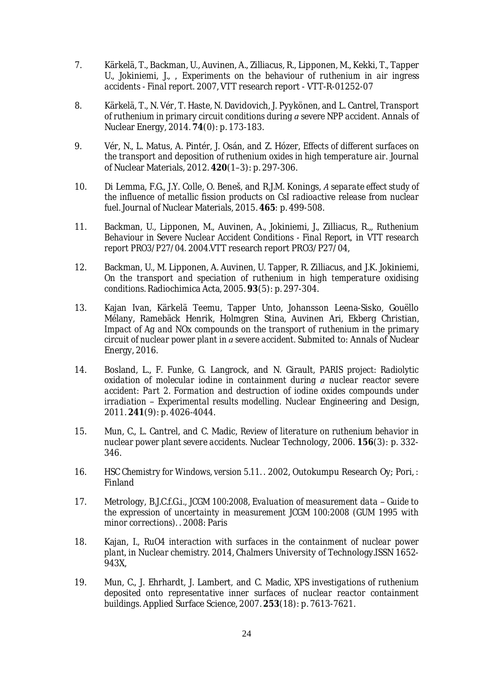- 7. Kärkelä, T., Backman, U., Auvinen, A., Zilliacus, R., Lipponen, M., Kekki, T., Tapper U., Jokiniemi, J., ǡ *Experiments on the behaviour of ruthenium in air ingress accidentsǦFinal report*Ǥ2007, VTT research reportǦVTT-R-01252-07
- 8. Kärkelä, T., N. Vér, T. Haste, N. Davidovich, J. Pyykönen, and L. Cantrel, *Transport of ruthenium in primary circuit conditions duringsevere NPP accident.* Annals of Nuclear Energy, 2014. **74**(0): p. 173-183.
- 9. Vér, N., L. Matus, A. Pintér, J. Osán, and Z. Hózer, *Effects of different surfaces on the transport and deposition of ruthenium oxides in high temperature air.* Journal of Nuclear Materials, 2012. **420**(1–3): p. 297-306.
- 10. Di Lemma, F.G., J.Y. Colle, O. Beneš, and R.J.M. Konings, A separate effect study of *the influence of metallic fission products on CsI radioactive release from nuclear fuel.* Journal of Nuclear Materials, 2015. 465: p. 499-508.
- 11. Backman, U., Lipponen, M., Auvinen, A., Jokiniemi, J., Zilliacus, R.,, *Ruthenium Behaviour in Severe Nuclear Accident Conditions ǦFinal Report*ǡ in *VTT research report PRO3/P27/04*Ǥ2004.VTT research report PRO3/P27/04,
- 12. Backman, U., M. Lipponen, A. Auvinen, U. Tapper, R. Zilliacus, and J.K. Jokiniemi, *On the transport and speciation of ruthenium in high temperature oxidising conditions.* Radiochimica Acta, 2005. **93**(5): p. 297-304.
- 13. Kajan Ivan, Kärkelä Teemu, Tapper Unto, Johansson Leena-Sisko, Gouëllo Mélany, Ramebäck Henrik, Holmgren Stina, Auvinen Ari, Ekberg Christian, *Impact of Ag and NOx compounds on the transport of ruthenium in the primary circuit of nuclear power plant insevere accident.* Submited to: Annals of Nuclear Energy, 2016.
- 14. Bosland, L., F. Funke, G. Langrock, and N. Girault, *PARIS project: Radiolytic oxidation of molecular iodine in containment during nuclear reactor severe accident: Part 2. Formation and destruction of iodine oxides compounds under irradiation* – *Experimental results modelling*. Nuclear Engineering and Design, 2011. **241**(9): p. 4026-4044.
- 15. Mun, C., L. Cantrel, and C. Madic, *Review of literature on ruthenium behavior in nuclear power plant severe accidents.* Nuclear Technology, 2006. **156**(3): p. 332- 346.
- 16. *HSC Chemistry for Windows, version* 5.11. 2002, Outokumpu Research Oy; Pori,: Finland
- 17. Metrology, B.J.C.f.G.i., *JCGM* 100:2008, *Evaluation of measurement data* Guide to *the expression of uncertainty in measurement JCGM 100:2008 (GUM 1995 with minor corrections*). 2008: Paris
- 18. Kajan, I., *RuO4 interaction with surfaces in the containment of nuclear power plant*, in *Nuclear chemistry*. 2014, Chalmers University of Technology.ISSN 1652-943X,
- 19. Mun, C., J. Ehrhardt, J. Lambert, and C. Madic, *XPS investigations of ruthenium deposited onto representative inner surfaces of nuclear reactor containment buildings.* Applied Surface Science, 2007. **253**(18): p. 7613-7621.